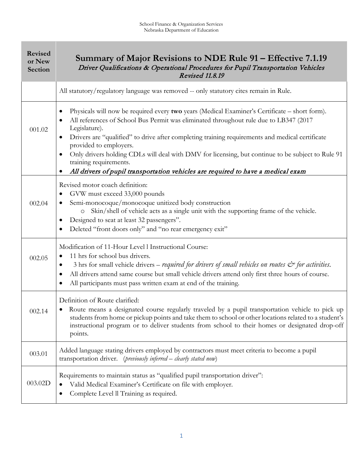| <b>Revised</b><br>or New<br>Section | Summary of Major Revisions to NDE Rule 91 – Effective 7.1.19<br>Driver Qualifications & Operational Procedures for Pupil Transportation Vehicles<br><b>Revised 11.8.19</b>                                                                                                                                                                                                                                                                                                                                                                              |
|-------------------------------------|---------------------------------------------------------------------------------------------------------------------------------------------------------------------------------------------------------------------------------------------------------------------------------------------------------------------------------------------------------------------------------------------------------------------------------------------------------------------------------------------------------------------------------------------------------|
|                                     | All statutory/regulatory language was removed -- only statutory cites remain in Rule.                                                                                                                                                                                                                                                                                                                                                                                                                                                                   |
| 001.02                              | Physicals will now be required every two years (Medical Examiner's Certificate – short form).<br>All references of School Bus Permit was eliminated throughout rule due to LB347 (2017<br>Legislature).<br>Drivers are "qualified" to drive after completing training requirements and medical certificate<br>provided to employers.<br>Only drivers holding CDLs will deal with DMV for licensing, but continue to be subject to Rule 91<br>training requirements.<br>All drivers of pupil transportation vehicles are required to have a medical exam |
| 002.04                              | Revised motor coach definition:<br>GVW must exceed 33,000 pounds<br>Semi-monocoque/monocoque unitized body construction<br>Skin/shell of vehicle acts as a single unit with the supporting frame of the vehicle.<br>$\circ$<br>Designed to seat at least 32 passengers".<br>Deleted "front doors only" and "no rear emergency exit"                                                                                                                                                                                                                     |
| 002.05                              | Modification of 11-Hour Level l Instructional Course:<br>11 hrs for school bus drivers.<br>3 hrs for small vehicle drivers – required for drivers of small vehicles on routes $\mathcal{Q}^*$ for activities.<br>All drivers attend same course but small vehicle drivers attend only first three hours of course.<br>$\bullet$<br>All participants must pass written exam at end of the training.                                                                                                                                                      |
| 002.14                              | Definition of Route clarified:<br>Route means a designated course regularly traveled by a pupil transportation vehicle to pick up<br>٠<br>students from home or pickup points and take them to school or other locations related to a student's<br>instructional program or to deliver students from school to their homes or designated drop-off<br>points.                                                                                                                                                                                            |
| 003.01                              | Added language stating drivers employed by contractors must meet criteria to become a pupil<br>transportation driver. (previously inferred - clearly stated now)                                                                                                                                                                                                                                                                                                                                                                                        |
| 003.02D                             | Requirements to maintain status as "qualified pupil transportation driver":<br>Valid Medical Examiner's Certificate on file with employer.<br>Complete Level II Training as required.                                                                                                                                                                                                                                                                                                                                                                   |